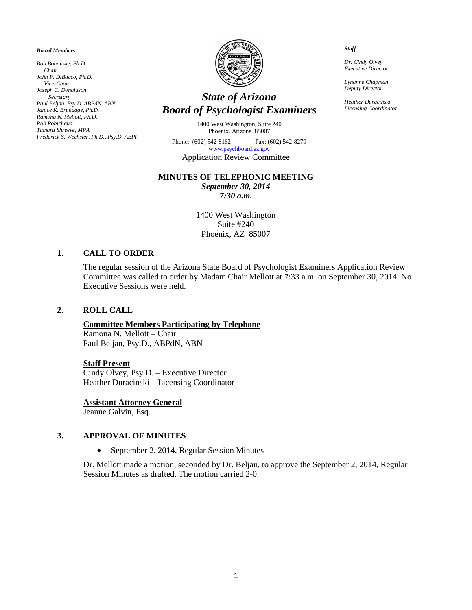#### *Board Members*

*Bob Bohanske, Ph.D. Chair John P. DiBacco, Ph.D. Vice-Chair Joseph C. Donaldson Secretary Paul Beljan, Psy.D. ABPdN, ABN Janice K. Brundage, Ph.D. Ramona N. Mellott, Ph.D. Rob Robichaud Tamara Shreeve, MPA Frederick S. Wechsler, Ph.D., Psy.D, ABPP*



# *State of Arizona Board of Psychologist Examiners*

1400 West Washington, Suite 240 Phoenix, Arizona 85007

Phone: (602) 542-8162 Fax: (602) 542-8279 [www.psychboard.az.gov](http://www.psychboard.az.gov/)  Application Review Committee

#### **MINUTES OF TELEPHONIC MEETING**

*September 30, 2014 7:30 a.m.*

1400 West Washington Suite #240 Phoenix, AZ 85007

#### **1. CALL TO ORDER**

The regular session of the Arizona State Board of Psychologist Examiners Application Review Committee was called to order by Madam Chair Mellott at 7:33 a.m. on September 30, 2014. No Executive Sessions were held.

#### **2. ROLL CALL**

#### **Committee Members Participating by Telephone**

Ramona N. Mellott – Chair Paul Beljan, Psy.D., ABPdN, ABN

#### **Staff Present**

Cindy Olvey, Psy.D. – Executive Director Heather Duracinski – Licensing Coordinator

#### **Assistant Attorney General**

Jeanne Galvin, Esq.

#### **3. APPROVAL OF MINUTES**

• September 2, 2014, Regular Session Minutes

Dr. Mellott made a motion, seconded by Dr. Beljan, to approve the September 2, 2014, Regular Session Minutes as drafted. The motion carried 2-0.

 *Staff*

 *Dr. Cindy Olvey Executive Director*

 *Lynanne Chapman Deputy Director*

 *Heather Duracinski Licensing Coordinator*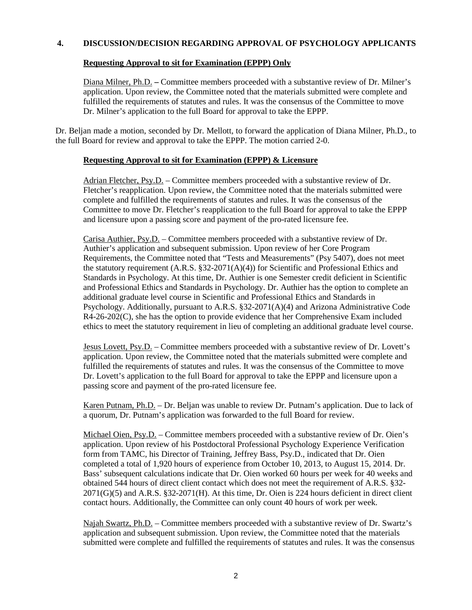# **4. DISCUSSION/DECISION REGARDING APPROVAL OF PSYCHOLOGY APPLICANTS**

# **Requesting Approval to sit for Examination (EPPP) Only**

Diana Milner, Ph.D. **–** Committee members proceeded with a substantive review of Dr. Milner's application. Upon review, the Committee noted that the materials submitted were complete and fulfilled the requirements of statutes and rules. It was the consensus of the Committee to move Dr. Milner's application to the full Board for approval to take the EPPP.

Dr. Beljan made a motion, seconded by Dr. Mellott, to forward the application of Diana Milner, Ph.D., to the full Board for review and approval to take the EPPP. The motion carried 2-0.

# **Requesting Approval to sit for Examination (EPPP) & Licensure**

Adrian Fletcher, Psy.D. – Committee members proceeded with a substantive review of Dr. Fletcher's reapplication. Upon review, the Committee noted that the materials submitted were complete and fulfilled the requirements of statutes and rules. It was the consensus of the Committee to move Dr. Fletcher's reapplication to the full Board for approval to take the EPPP and licensure upon a passing score and payment of the pro-rated licensure fee.

Carisa Authier, Psy.D. – Committee members proceeded with a substantive review of Dr. Authier's application and subsequent submission. Upon review of her Core Program Requirements, the Committee noted that "Tests and Measurements" (Psy 5407), does not meet the statutory requirement (A.R.S. §32-2071( $A$ )(4)) for Scientific and Professional Ethics and Standards in Psychology. At this time, Dr. Authier is one Semester credit deficient in Scientific and Professional Ethics and Standards in Psychology. Dr. Authier has the option to complete an additional graduate level course in Scientific and Professional Ethics and Standards in Psychology. Additionally, pursuant to A.R.S. §32-2071(A)(4) and Arizona Administrative Code R4-26-202(C), she has the option to provide evidence that her Comprehensive Exam included ethics to meet the statutory requirement in lieu of completing an additional graduate level course.

Jesus Lovett, Psy.D. – Committee members proceeded with a substantive review of Dr. Lovett's application. Upon review, the Committee noted that the materials submitted were complete and fulfilled the requirements of statutes and rules. It was the consensus of the Committee to move Dr. Lovett's application to the full Board for approval to take the EPPP and licensure upon a passing score and payment of the pro-rated licensure fee.

Karen Putnam, Ph.D. – Dr. Beljan was unable to review Dr. Putnam's application. Due to lack of a quorum, Dr. Putnam's application was forwarded to the full Board for review.

Michael Oien, Psy.D. – Committee members proceeded with a substantive review of Dr. Oien's application. Upon review of his Postdoctoral Professional Psychology Experience Verification form from TAMC, his Director of Training, Jeffrey Bass, Psy.D., indicated that Dr. Oien completed a total of 1,920 hours of experience from October 10, 2013, to August 15, 2014. Dr. Bass' subsequent calculations indicate that Dr. Oien worked 60 hours per week for 40 weeks and obtained 544 hours of direct client contact which does not meet the requirement of A.R.S. §32- 2071(G)(5) and A.R.S. §32-2071(H). At this time, Dr. Oien is 224 hours deficient in direct client contact hours. Additionally, the Committee can only count 40 hours of work per week.

Najah Swartz, Ph.D. – Committee members proceeded with a substantive review of Dr. Swartz's application and subsequent submission. Upon review, the Committee noted that the materials submitted were complete and fulfilled the requirements of statutes and rules. It was the consensus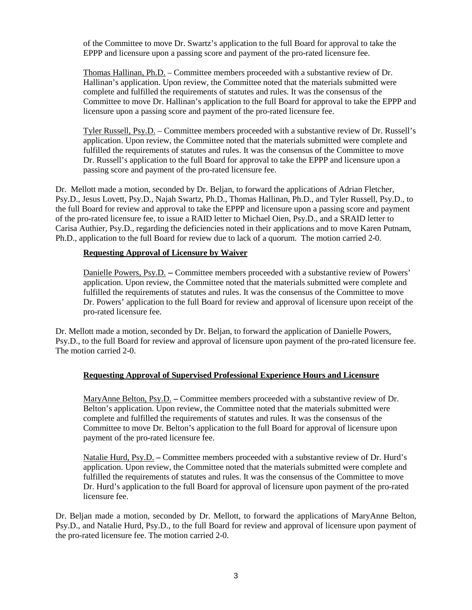of the Committee to move Dr. Swartz's application to the full Board for approval to take the EPPP and licensure upon a passing score and payment of the pro-rated licensure fee.

Thomas Hallinan, Ph.D. – Committee members proceeded with a substantive review of Dr. Hallinan's application. Upon review, the Committee noted that the materials submitted were complete and fulfilled the requirements of statutes and rules. It was the consensus of the Committee to move Dr. Hallinan's application to the full Board for approval to take the EPPP and licensure upon a passing score and payment of the pro-rated licensure fee.

Tyler Russell, Psy.D. – Committee members proceeded with a substantive review of Dr. Russell's application. Upon review, the Committee noted that the materials submitted were complete and fulfilled the requirements of statutes and rules. It was the consensus of the Committee to move Dr. Russell's application to the full Board for approval to take the EPPP and licensure upon a passing score and payment of the pro-rated licensure fee.

Dr. Mellott made a motion, seconded by Dr. Beljan, to forward the applications of Adrian Fletcher, Psy.D., Jesus Lovett, Psy.D., Najah Swartz, Ph.D., Thomas Hallinan, Ph.D., and Tyler Russell, Psy.D., to the full Board for review and approval to take the EPPP and licensure upon a passing score and payment of the pro-rated licensure fee, to issue a RAID letter to Michael Oien, Psy.D., and a SRAID letter to Carisa Authier, Psy.D., regarding the deficiencies noted in their applications and to move Karen Putnam, Ph.D., application to the full Board for review due to lack of a quorum. The motion carried 2-0.

# **Requesting Approval of Licensure by Waiver**

Danielle Powers, Psy.D. **–** Committee members proceeded with a substantive review of Powers' application. Upon review, the Committee noted that the materials submitted were complete and fulfilled the requirements of statutes and rules. It was the consensus of the Committee to move Dr. Powers' application to the full Board for review and approval of licensure upon receipt of the pro-rated licensure fee.

Dr. Mellott made a motion, seconded by Dr. Beljan, to forward the application of Danielle Powers, Psy.D., to the full Board for review and approval of licensure upon payment of the pro-rated licensure fee. The motion carried 2-0.

# **Requesting Approval of Supervised Professional Experience Hours and Licensure**

MaryAnne Belton, Psy.D. **–** Committee members proceeded with a substantive review of Dr. Belton's application. Upon review, the Committee noted that the materials submitted were complete and fulfilled the requirements of statutes and rules. It was the consensus of the Committee to move Dr. Belton's application to the full Board for approval of licensure upon payment of the pro-rated licensure fee.

Natalie Hurd, Psy.D. **–** Committee members proceeded with a substantive review of Dr. Hurd's application. Upon review, the Committee noted that the materials submitted were complete and fulfilled the requirements of statutes and rules. It was the consensus of the Committee to move Dr. Hurd's application to the full Board for approval of licensure upon payment of the pro-rated licensure fee.

Dr. Beljan made a motion, seconded by Dr. Mellott, to forward the applications of MaryAnne Belton, Psy.D., and Natalie Hurd, Psy.D., to the full Board for review and approval of licensure upon payment of the pro-rated licensure fee. The motion carried 2-0.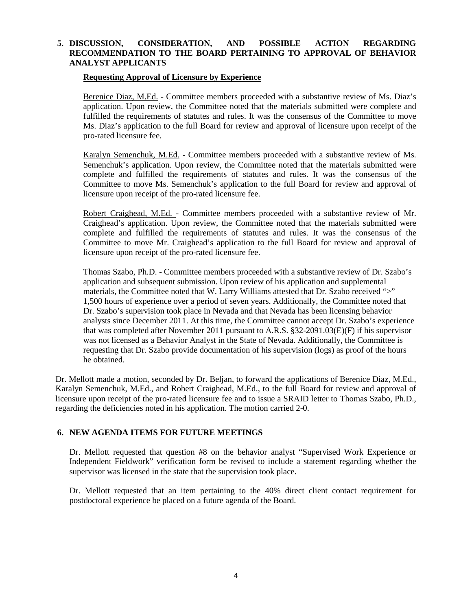# **5. DISCUSSION, CONSIDERATION, AND POSSIBLE ACTION REGARDING RECOMMENDATION TO THE BOARD PERTAINING TO APPROVAL OF BEHAVIOR ANALYST APPLICANTS**

#### **Requesting Approval of Licensure by Experience**

Berenice Diaz, M.Ed. - Committee members proceeded with a substantive review of Ms. Diaz's application. Upon review, the Committee noted that the materials submitted were complete and fulfilled the requirements of statutes and rules. It was the consensus of the Committee to move Ms. Diaz's application to the full Board for review and approval of licensure upon receipt of the pro-rated licensure fee.

Karalyn Semenchuk, M.Ed. - Committee members proceeded with a substantive review of Ms. Semenchuk's application. Upon review, the Committee noted that the materials submitted were complete and fulfilled the requirements of statutes and rules. It was the consensus of the Committee to move Ms. Semenchuk's application to the full Board for review and approval of licensure upon receipt of the pro-rated licensure fee.

Robert Craighead, M.Ed. - Committee members proceeded with a substantive review of Mr. Craighead's application. Upon review, the Committee noted that the materials submitted were complete and fulfilled the requirements of statutes and rules. It was the consensus of the Committee to move Mr. Craighead's application to the full Board for review and approval of licensure upon receipt of the pro-rated licensure fee.

Thomas Szabo, Ph.D. - Committee members proceeded with a substantive review of Dr. Szabo's application and subsequent submission. Upon review of his application and supplemental materials, the Committee noted that W. Larry Williams attested that Dr. Szabo received ">" 1,500 hours of experience over a period of seven years. Additionally, the Committee noted that Dr. Szabo's supervision took place in Nevada and that Nevada has been licensing behavior analysts since December 2011. At this time, the Committee cannot accept Dr. Szabo's experience that was completed after November 2011 pursuant to A.R.S. §32-2091.03(E)(F) if his supervisor was not licensed as a Behavior Analyst in the State of Nevada. Additionally, the Committee is requesting that Dr. Szabo provide documentation of his supervision (logs) as proof of the hours he obtained.

Dr. Mellott made a motion, seconded by Dr. Beljan, to forward the applications of Berenice Diaz, M.Ed., Karalyn Semenchuk, M.Ed., and Robert Craighead, M.Ed., to the full Board for review and approval of licensure upon receipt of the pro-rated licensure fee and to issue a SRAID letter to Thomas Szabo, Ph.D., regarding the deficiencies noted in his application. The motion carried 2-0.

# **6. NEW AGENDA ITEMS FOR FUTURE MEETINGS**

Dr. Mellott requested that question #8 on the behavior analyst "Supervised Work Experience or Independent Fieldwork" verification form be revised to include a statement regarding whether the supervisor was licensed in the state that the supervision took place.

Dr. Mellott requested that an item pertaining to the 40% direct client contact requirement for postdoctoral experience be placed on a future agenda of the Board.